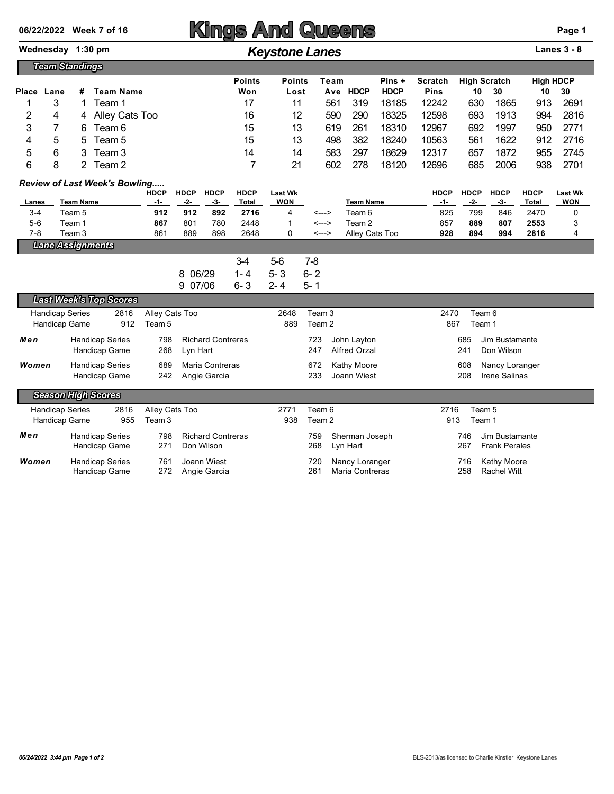## Wednesday 1:30 pm *Keystone Lanes* **Lanes 3 - 8**

|       | <b>Team Standings</b> |   |                |               |               |                |             |             |                     |     |      |                  |      |
|-------|-----------------------|---|----------------|---------------|---------------|----------------|-------------|-------------|---------------------|-----|------|------------------|------|
|       |                       |   |                | <b>Points</b> | <b>Points</b> | Pins +<br>Team |             | Scratch     | <b>High Scratch</b> |     |      | <b>High HDCP</b> |      |
| Place | Lane                  | # | Team Name      | Won           | Lost          | Ave            | <b>HDCP</b> | <b>HDCP</b> | <b>Pins</b>         | 10  | 30   | 10               | 30   |
|       |                       |   | ⊺eam 1         | 17            | 11            | 561            | 319         | 18185       | 12242               | 630 | 1865 | 913              | 2691 |
|       |                       | 4 | Alley Cats Too | 16            | 12            | 590            | 290         | 18325       | 12598               | 693 | 1913 | 994              | 2816 |
|       |                       | 6 | Team 6         | 15            | 13            | 619            | 261         | 18310       | 12967               | 692 | 1997 | 950              | 2771 |
| 4     | 5                     | b | Team 5         | 15            | 13            | 498            | 382         | 18240       | 10563               | 561 | 1622 | 912              | 2716 |
| 5     | 6                     |   | Team 3         | 14            | 14            | 583            | 297         | 18629       | 12317               | 657 | 1872 | 955              | 2745 |
| 6     |                       |   | Team 2         |               | 21            | 602            | 278         | 18120       | 12696               | 685 | 2006 | 938              | 2701 |

## *Review of Last Week's Bowling.....*

|         |                         | -<br><b>HDCP</b> | <b>HDCP</b>     | <b>HDCP</b> | <b>HDCP</b> | <b>Last Wk</b> |       |                  | <b>HDCP</b> | <b>HDCP</b> | <b>HDCP</b> | <b>HDCP</b> | <b>Last Wk</b> |
|---------|-------------------------|------------------|-----------------|-------------|-------------|----------------|-------|------------------|-------------|-------------|-------------|-------------|----------------|
| Lanes   | Team Name               | -1-              | -2-             | -3-         | Total       | <b>WON</b>     |       | <b>Team Name</b> | -1-         | -2-         | - 3-        | Total       | <b>WON</b>     |
| $3 - 4$ | Team 5                  | 912              | 912             | 892         | 2716        |                | <---> | Team 6           | 825         | 799         | 846         | 2470        |                |
| $5-6$   | Team 1                  | 867              | 80 <sup>4</sup> | 780         | 2448        |                | <---> | Team 2           | 857         | 889         | 807         | 2553        |                |
| 7-8     | Team 3                  | 861              | 889             | 898         | 2648        |                | <---> | Alley Cats Too   | 928         | 894         | 994         | 2816        | 4              |
|         | <b>Lane Assignments</b> |                  |                 |             |             |                |       |                  |             |             |             |             |                |

| . |  |  |
|---|--|--|
|   |  |  |
|   |  |  |
|   |  |  |

|         | 34   | 5-6 | 7-8  |
|---------|------|-----|------|
| 8 06/29 | 1-4  | 5-3 | 6- 2 |
| 9 07/06 | ճ- 3 | 2-4 | 5- 1 |

|                           | <b>Last Week's Top Scores</b> |      |                |                          |      |                   |                     |      |                      |
|---------------------------|-------------------------------|------|----------------|--------------------------|------|-------------------|---------------------|------|----------------------|
| <b>Handicap Series</b>    |                               | 2816 | Alley Cats Too |                          | 2648 | Team 3            |                     | 2470 | Team 6               |
| Handicap Game             |                               | 912  | Team 5         |                          | 889  | Team <sub>2</sub> |                     | 867  | Team 1               |
| Men                       | <b>Handicap Series</b>        |      | 798            | <b>Richard Contreras</b> |      | 723               | John Layton         | 685  | Jim Bustamante       |
|                           | Handicap Game                 |      | 268            | Lyn Hart                 |      | 247               | <b>Alfred Orzal</b> | 241  | Don Wilson           |
| Women                     | <b>Handicap Series</b>        |      | 689            | Maria Contreras          |      | 672               | Kathy Moore         | 608  | Nancy Loranger       |
|                           | Handicap Game                 |      | 242            | Angie Garcia             |      | 233               | Joann Wiest         | 208  | Irene Salinas        |
| <b>Season High Scores</b> |                               |      |                |                          |      |                   |                     |      |                      |
| <b>Handicap Series</b>    |                               | 2816 | Alley Cats Too |                          | 2771 | Team 6            |                     | 2716 | Team 5               |
| Handicap Game             |                               | 955  | Team 3         |                          | 938  | Team 2            |                     | 913  | Team 1               |
| Men                       | <b>Handicap Series</b>        |      | 798            | <b>Richard Contreras</b> |      | 759               | Sherman Joseph      | 746  | Jim Bustamante       |
|                           | Handicap Game                 |      | 271            | Don Wilson               |      | 268               | Lyn Hart            | 267  | <b>Frank Perales</b> |
| Women                     | <b>Handicap Series</b>        |      | 761            | Joann Wiest              |      | 720               | Nancy Loranger      | 716  | Kathy Moore          |
|                           | Handicap Game                 |      | 272            | Angie Garcia             |      | 261               | Maria Contreras     | 258  | <b>Rachel Witt</b>   |